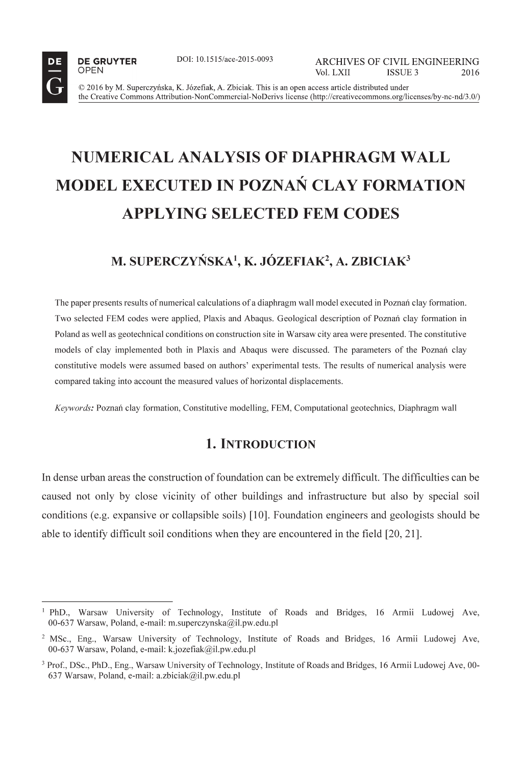DOI: 10.1515/ace-2015-0093



**DE GRUYTER** 

**OPEN** 

**ARCHIVES OF CIVIL ENGINEERING** Vol. LXII **ISSUE 3** 2016

© 2016 by M. Superczyńska, K. Józefiak, A. Zbiciak. This is an open access article distributed under the Creative Commons Attribution-NonCommercial-NoDerivs license (http://creativecommons.org/licenses/by-nc-nd/3.0/)

# NUMERICAL ANALYSIS OF DIAPHRAGM WALL MODEL EXECUTED IN POZNAŃ CLAY FORMATION **APPLYING SELECTED FEM CODES**

# M. SUPERCZYŃSKA<sup>1</sup>, K. JÓZEFIAK<sup>2</sup>, A. ZBICIAK<sup>3</sup>

The paper presents results of numerical calculations of a diaphragm wall model executed in Poznań clay formation. Two selected FEM codes were applied, Plaxis and Abaqus. Geological description of Poznań clay formation in Poland as well as geotechnical conditions on construction site in Warsaw city area were presented. The constitutive models of clay implemented both in Plaxis and Abaqus were discussed. The parameters of the Poznań clay constitutive models were assumed based on authors' experimental tests. The results of numerical analysis were compared taking into account the measured values of horizontal displacements.

Keywords: Poznań clay formation, Constitutive modelling, FEM, Computational geotechnics, Diaphragm wall

## **1. INTRODUCTION**

In dense urban areas the construction of foundation can be extremely difficult. The difficulties can be caused not only by close vicinity of other buildings and infrastructure but also by special soil conditions (e.g. expansive or collapsible soils) [10]. Foundation engineers and geologists should be able to identify difficult soil conditions when they are encountered in the field  $[20, 21]$ .

PhD., Warsaw University of Technology, Institute of Roads and Bridges, 16 Armii Ludowej Ave, 00-637 Warsaw, Poland, e-mail: m.superczynska@il.pw.edu.pl

<sup>&</sup>lt;sup>2</sup> MSc., Eng., Warsaw University of Technology, Institute of Roads and Bridges, 16 Armii Ludowej Ave, 00-637 Warsaw, Poland, e-mail: k.jozefiak@il.pw.edu.pl

<sup>&</sup>lt;sup>3</sup> Prof., DSc., PhD., Eng., Warsaw University of Technology, Institute of Roads and Bridges, 16 Armii Ludowej Ave, 00-637 Warsaw, Poland, e-mail: a.zbiciak@il.pw.edu.pl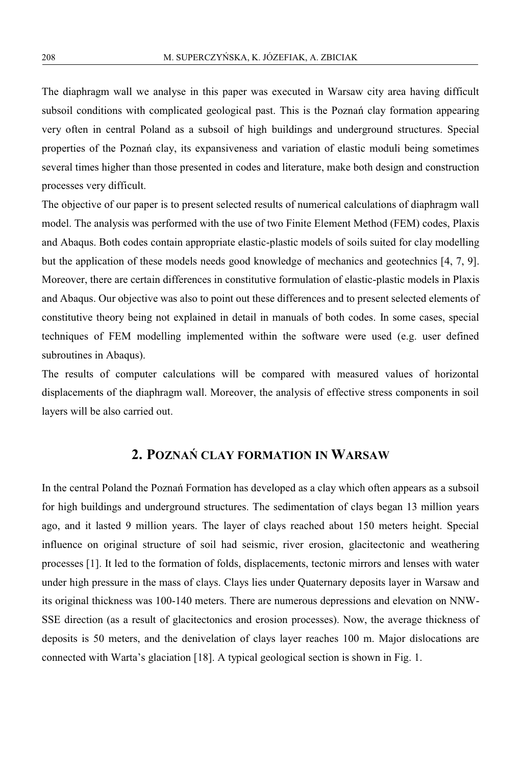The diaphragm wall we analyse in this paper was executed in Warsaw city area having difficult subsoil conditions with complicated geological past. This is the Poznań clay formation appearing very often in central Poland as a subsoil of high buildings and underground structures. Special properties of the Poznań clay, its expansiveness and variation of elastic moduli being sometimes several times higher than those presented in codes and literature, make both design and construction processes very difficult.

The objective of our paper is to present selected results of numerical calculations of diaphragm wall model. The analysis was performed with the use of two Finite Element Method (FEM) codes, Plaxis and Abaqus. Both codes contain appropriate elastic-plastic models of soils suited for clay modelling but the application of these models needs good knowledge of mechanics and geotechnics [4, 7, 9]. Moreover, there are certain differences in constitutive formulation of elastic-plastic models in Plaxis and Abaqus. Our objective was also to point out these differences and to present selected elements of constitutive theory being not explained in detail in manuals of both codes. In some cases, special techniques of FEM modelling implemented within the software were used (e.g. user defined subroutines in Abaqus).

The results of computer calculations will be compared with measured values of horizontal displacements of the diaphragm wall. Moreover, the analysis of effective stress components in soil layers will be also carried out.

# **2. POZNAŃ CLAY FORMATION IN WARSAW**

In the central Poland the Poznań Formation has developed as a clay which often appears as a subsoil for high buildings and underground structures. The sedimentation of clays began 13 million years ago, and it lasted 9 million years. The layer of clays reached about 150 meters height. Special influence on original structure of soil had seismic, river erosion, glacitectonic and weathering processes [1]. It led to the formation of folds, displacements, tectonic mirrors and lenses with water under high pressure in the mass of clays. Clays lies under Quaternary deposits layer in Warsaw and its original thickness was 100-140 meters. There are numerous depressions and elevation on NNW-SSE direction (as a result of glacitectonics and erosion processes). Now, the average thickness of deposits is 50 meters, and the denivelation of clays layer reaches 100 m. Major dislocations are connected with Warta's glaciation [18]. A typical geological section is shown in Fig. 1.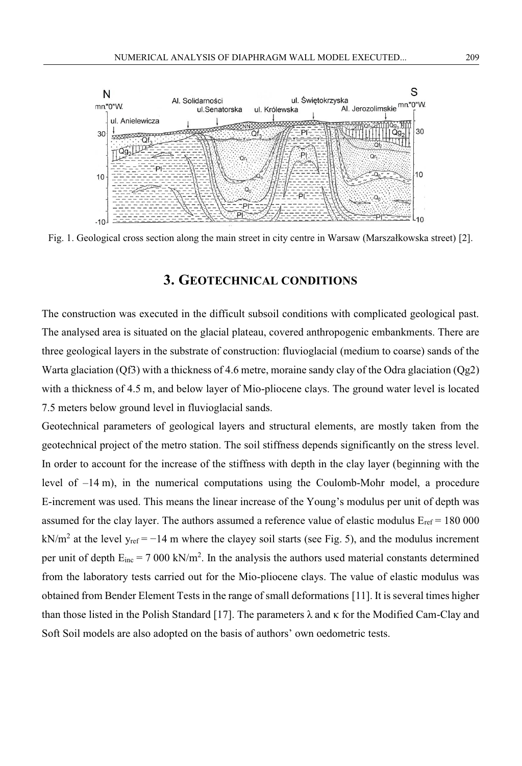

Fig. 1. Geological cross section along the main street in city centre in Warsaw (Marszałkowska street) [2].

## **3. GEOTECHNICAL CONDITIONS**

The construction was executed in the difficult subsoil conditions with complicated geological past. The analysed area is situated on the glacial plateau, covered anthropogenic embankments. There are three geological layers in the substrate of construction: fluvioglacial (medium to coarse) sands of the Warta glaciation (Qf3) with a thickness of 4.6 metre, moraine sandy clay of the Odra glaciation (Qg2) with a thickness of 4.5 m, and below layer of Mio-pliocene clays. The ground water level is located 7.5 meters below ground level in fluvioglacial sands.

Geotechnical parameters of geological layers and structural elements, are mostly taken from the geotechnical project of the metro station. The soil stiffness depends significantly on the stress level. In order to account for the increase of the stiffness with depth in the clay layer (beginning with the level of –14 m), in the numerical computations using the Coulomb-Mohr model, a procedure E-increment was used. This means the linear increase of the Young's modulus per unit of depth was assumed for the clay layer. The authors assumed a reference value of elastic modulus  $E_{ref} = 180,000$ kN/m<sup>2</sup> at the level y<sub>ref</sub> = -14 m where the clayey soil starts (see Fig. 5), and the modulus increment per unit of depth  $E_{inc} = 7000 \text{ kN/m}^2$ . In the analysis the authors used material constants determined from the laboratory tests carried out for the Mio-pliocene clays. The value of elastic modulus was obtained from Bender Element Tests in the range of small deformations [11]. It is several times higher than those listed in the Polish Standard [17]. The parameters  $\lambda$  and  $\kappa$  for the Modified Cam-Clay and Soft Soil models are also adopted on the basis of authors' own oedometric tests.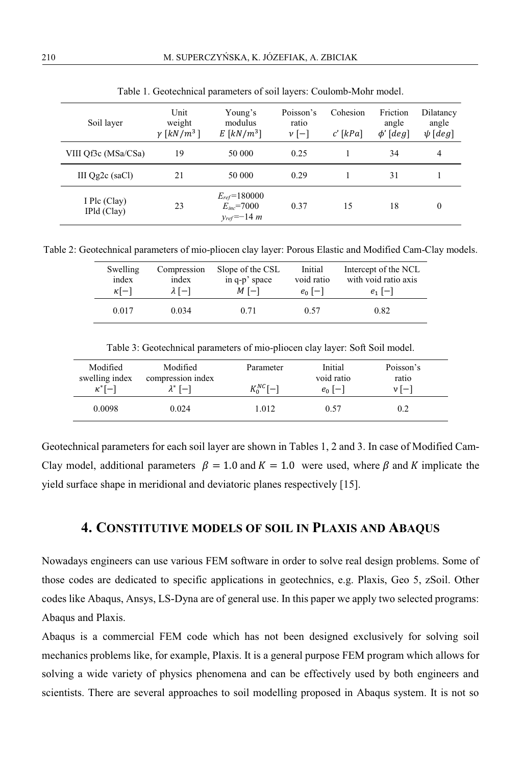| Soil layer                  | Unit<br>weight<br>$\gamma$ [kN/m <sup>3</sup> ] | Young's<br>modulus<br>$E$ [kN/m <sup>3</sup> ]               | Poisson's<br>ratio<br>$\nu$ [-] | Cohesion<br>$c'$ [kPa] | Friction<br>angle<br>$\phi'$ [deg] | Dilatancy<br>angle<br>$\psi$ [deg] |
|-----------------------------|-------------------------------------------------|--------------------------------------------------------------|---------------------------------|------------------------|------------------------------------|------------------------------------|
| VIII Qf3c (MSa/CSa)         | 19                                              | 50 000                                                       | 0.25                            |                        | 34                                 | 4                                  |
| III $Qg2c$ (saCl)           | 21                                              | 50 000                                                       | 0.29                            |                        | 31                                 |                                    |
| I Plc (Clay)<br>IPld (Clay) | 23                                              | $E_{ref}$ =180000<br>$E_{inc} = 7000$<br>$y_{ref} = -14 \ m$ | 0.37                            | 15                     | 18                                 | $\Omega$                           |

Table 1. Geotechnical parameters of soil layers: Coulomb-Mohr model.

Table 2: Geotechnical parameters of mio-pliocen clay layer: Porous Elastic and Modified Cam-Clay models.

| Swelling     | Compression    | Slope of the CSL | Initial    | Intercept of the NCL |
|--------------|----------------|------------------|------------|----------------------|
| index        | index          | in q-p' space    | void ratio | with void ratio axis |
| $\kappa$ [-] | $\lambda$ [-1] | $M[-]$           | $e_0$ [-]  | $e_1$  -             |
| 0.017        | 0.034          | 0.71             | 0.57       | 0.82                 |

Table 3: Geotechnical parameters of mio-pliocen clay layer: Soft Soil model.

| Modified<br>swelling index<br>$\kappa^*[-]$ | Modified<br>compression index<br>$\lambda^*$ [-1 | Parameter<br>$K_0NC$ [-] | Initial<br>void ratio<br>$e_0$  - | Poisson's<br>ratio<br>$v[-]$ |  |
|---------------------------------------------|--------------------------------------------------|--------------------------|-----------------------------------|------------------------------|--|
| 0.0098                                      | 0.024                                            | 1.012                    | 0.57                              | 0.2                          |  |

Geotechnical parameters for each soil layer are shown in Tables 1, 2 and 3. In case of Modified Cam-Clay model, additional parameters  $\beta = 1.0$  and  $K = 1.0$  were used, where  $\beta$  and K implicate the yield surface shape in meridional and deviatoric planes respectively [15].

# **4. CONSTITUTIVE MODELS OF SOIL IN PLAXIS AND ABAQUS**

Nowadays engineers can use various FEM software in order to solve real design problems. Some of those codes are dedicated to specific applications in geotechnics, e.g. Plaxis, Geo 5, zSoil. Other codes like Abaqus, Ansys, LS-Dyna are of general use. In this paper we apply two selected programs: Abaqus and Plaxis.

Abaqus is a commercial FEM code which has not been designed exclusively for solving soil mechanics problems like, for example, Plaxis. It is a general purpose FEM program which allows for solving a wide variety of physics phenomena and can be effectively used by both engineers and scientists. There are several approaches to soil modelling proposed in Abaqus system. It is not so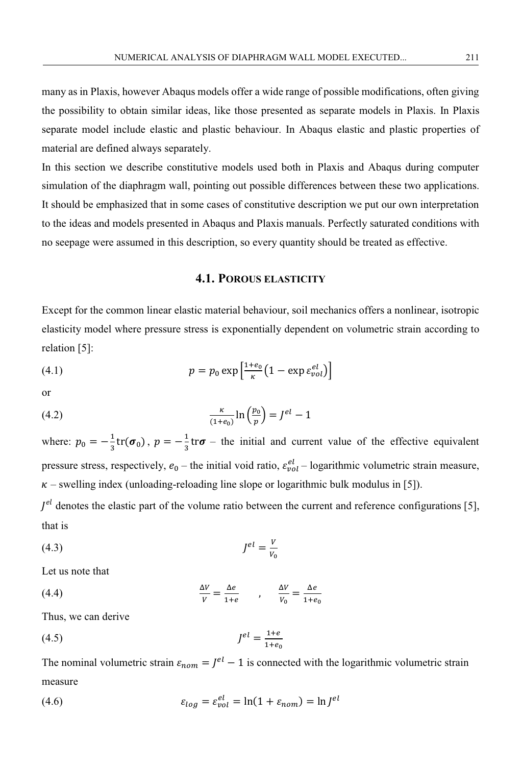many as in Plaxis, however Abaqus models offer a wide range of possible modifications, often giving the possibility to obtain similar ideas, like those presented as separate models in Plaxis. In Plaxis separate model include elastic and plastic behaviour. In Abaqus elastic and plastic properties of material are defined always separately.

In this section we describe constitutive models used both in Plaxis and Abaqus during computer simulation of the diaphragm wall, pointing out possible differences between these two applications. It should be emphasized that in some cases of constitutive description we put our own interpretation to the ideas and models presented in Abaqus and Plaxis manuals. Perfectly saturated conditions with no seepage were assumed in this description, so every quantity should be treated as effective.

#### **4.1. POROUS ELASTICITY**

Except for the common linear elastic material behaviour, soil mechanics offers a nonlinear, isotropic elasticity model where pressure stress is exponentially dependent on volumetric strain according to relation [5]:

(4.1) 
$$
p = p_0 \exp\left[\frac{1+e_0}{\kappa} \left(1 - \exp \varepsilon_{vol}^{el}\right)\right]
$$

or

(4.2) 
$$
\frac{\kappa}{(1+e_0)} \ln \left(\frac{p_0}{p}\right) = J^{el} - 1
$$

where:  $p_0 = -\frac{1}{3} \text{tr}(\sigma_0)$ ,  $p = -\frac{1}{3} \text{tr}(\sigma - \sigma_0)$  the initial and current value of the effective equivalent pressure stress, respectively,  $e_0$  – the initial void ratio,  $\varepsilon_{vol}^{el}$  – logarithmic volumetric strain measure,  $\kappa$  – swelling index (unloading-reloading line slope or logarithmic bulk modulus in [5]).

 $J<sup>el</sup>$  denotes the elastic part of the volume ratio between the current and reference configurations [5], that is

$$
(4.3) \t\t\t Jel = \frac{v}{v_0}
$$

Let us note that

$$
\frac{\Delta V}{V} = \frac{\Delta e}{1 + e}, \qquad \frac{\Delta V}{V_0} = \frac{\Delta e}{1 + e_0}
$$

Thus, we can derive

$$
(4.5) \t\t\t fel = \frac{1+e}{1+e_0}
$$

The nominal volumetric strain  $\varepsilon_{nom} = J^{el} - 1$  is connected with the logarithmic volumetric strain measure

(4.6) 
$$
\varepsilon_{log} = \varepsilon_{vol}^{el} = \ln(1 + \varepsilon_{nom}) = \ln J^{el}
$$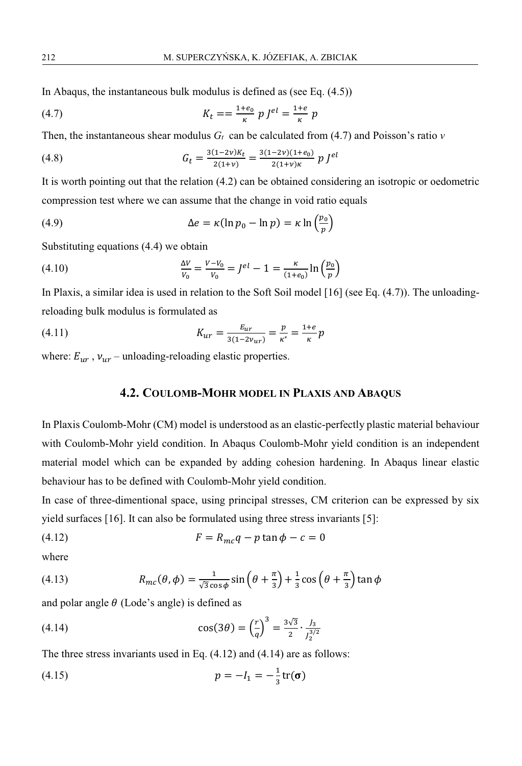In Abaqus, the instantaneous bulk modulus is defined as (see Eq. (4.5))

(4.7) 
$$
K_t = \frac{1+e_0}{\kappa} p J^{el} = \frac{1+e}{\kappa} p
$$

Then, the instantaneous shear modulus *Gt* can be calculated from (4.7) and Poisson's ratio *ν*

(4.8) 
$$
G_t = \frac{3(1-2\nu)K_t}{2(1+\nu)} = \frac{3(1-2\nu)(1+e_0)}{2(1+\nu)\kappa} p J^{el}
$$

It is worth pointing out that the relation (4.2) can be obtained considering an isotropic or oedometric compression test where we can assume that the change in void ratio equals

(4.9) 
$$
\Delta e = \kappa (\ln p_0 - \ln p) = \kappa \ln \left(\frac{p_0}{p}\right)
$$

Substituting equations (4.4) we obtain

(4.10) 
$$
\frac{\Delta V}{V_0} = \frac{V - V_0}{V_0} = J^{el} - 1 = \frac{\kappa}{(1 + e_0)} \ln \left( \frac{p_0}{p} \right)
$$

In Plaxis, a similar idea is used in relation to the Soft Soil model [16] (see Eq. (4.7)). The unloadingreloading bulk modulus is formulated as

(4.11) 
$$
K_{ur} = \frac{E_{ur}}{3(1-2v_{ur})} = \frac{p}{\kappa^*} = \frac{1+e}{\kappa}p
$$

where:  $E_{ur}$ ,  $v_{ur}$  – unloading-reloading elastic properties.

## **4.2. COULOMB-MOHR MODEL IN PLAXIS AND ABAQUS**

In Plaxis Coulomb-Mohr (CM) model is understood as an elastic-perfectly plastic material behaviour with Coulomb-Mohr yield condition. In Abaqus Coulomb-Mohr yield condition is an independent material model which can be expanded by adding cohesion hardening. In Abaqus linear elastic behaviour has to be defined with Coulomb-Mohr yield condition.

In case of three-dimentional space, using principal stresses, CM criterion can be expressed by six yield surfaces [16]. It can also be formulated using three stress invariants [5]:

$$
(4.12) \t\t\t F = R_{mc}q - p \tan \phi - c = 0
$$

where

(4.13) 
$$
R_{mc}(\theta,\phi) = \frac{1}{\sqrt{3}\cos\phi}\sin\left(\theta + \frac{\pi}{3}\right) + \frac{1}{3}\cos\left(\theta + \frac{\pi}{3}\right)\tan\phi
$$

and polar angle  $\theta$  (Lode's angle) is defined as

(4.14) 
$$
\cos(3\theta) = \left(\frac{r}{q}\right)^3 = \frac{3\sqrt{3}}{2} \cdot \frac{J_3}{J_2^{3/2}}
$$

The three stress invariants used in Eq. (4.12) and (4.14) are as follows:

(4.15) 
$$
p = -I_1 = -\frac{1}{3}tr(\sigma)
$$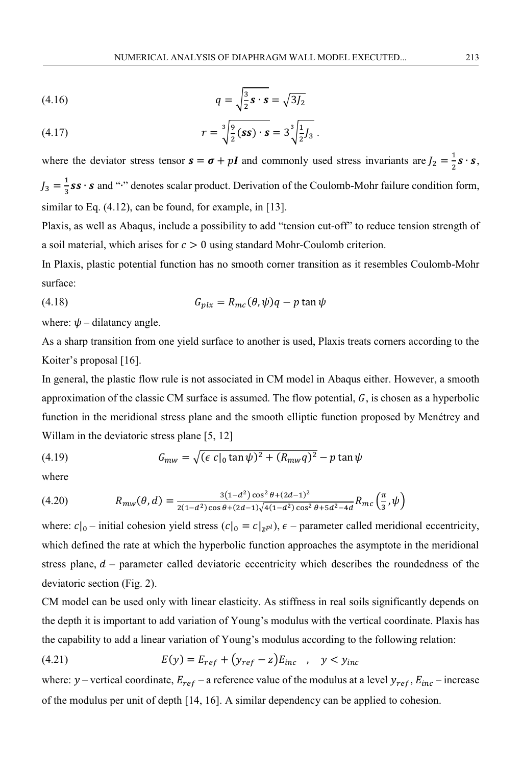$$
(4.16) \qquad \qquad q = \sqrt{\frac{3}{2}\mathbf{s} \cdot \mathbf{s}} = \sqrt{3J_2}
$$

(4.17) 
$$
r = \sqrt[3]{\frac{9}{2}(ss) \cdot s} = 3\sqrt[3]{\frac{1}{2}J_3}.
$$

where the deviator stress tensor  $\mathbf{s} = \boldsymbol{\sigma} + p\mathbf{I}$  and commonly used stress invariants are  $J_2 = \frac{1}{2}\mathbf{s} \cdot \mathbf{s}$ ,  $J_3 = \frac{1}{3}$ **ss**  $\cdot$  **s** and "" denotes scalar product. Derivation of the Coulomb-Mohr failure condition form, similar to Eq.  $(4.12)$ , can be found, for example, in [13].

Plaxis, as well as Abaqus, include a possibility to add "tension cut-off" to reduce tension strength of a soil material, which arises for  $c > 0$  using standard Mohr-Coulomb criterion.

In Plaxis, plastic potential function has no smooth corner transition as it resembles Coulomb-Mohr surface:

(4.18) 
$$
G_{plx} = R_{mc}(\theta, \psi)q - p \tan \psi
$$

where:  $\psi$  – dilatancy angle.

As a sharp transition from one yield surface to another is used, Plaxis treats corners according to the Koiter's proposal [16].

In general, the plastic flow rule is not associated in CM model in Abaqus either. However, a smooth approximation of the classic CM surface is assumed. The flow potential,  $G$ , is chosen as a hyperbolic function in the meridional stress plane and the smooth elliptic function proposed by Menétrey and Willam in the deviatoric stress plane [5, 12]

(4.19) 
$$
G_{mw} = \sqrt{(\epsilon \ c|_0 \tan \psi)^2 + (R_{mw}q)^2} - p \tan \psi
$$

where

$$
(4.20) \t R_{mw}(\theta, d) = \frac{3(1-d^2)\cos^2\theta + (2d-1)^2}{2(1-d^2)\cos\theta + (2d-1)\sqrt{4(1-d^2)\cos^2\theta + 5d^2 - 4d}} R_{mc}(\frac{\pi}{3}, \psi)
$$

where:  $c|_0$  – initial cohesion yield stress  $(c|_0 = c|_{\overline{z}^{pl}})$ ,  $\epsilon$  – parameter called meridional eccentricity, which defined the rate at which the hyperbolic function approaches the asymptote in the meridional stress plane,  $d$  – parameter called deviatoric eccentricity which describes the roundedness of the deviatoric section (Fig. 2).

CM model can be used only with linear elasticity. As stiffness in real soils significantly depends on the depth it is important to add variation of Young's modulus with the vertical coordinate. Plaxis has the capability to add a linear variation of Young's modulus according to the following relation:

(4.21) 
$$
E(y) = E_{ref} + (y_{ref} - z)E_{inc} , y < y_{inc}
$$

where:  $y$  – vertical coordinate,  $E_{ref}$  – a reference value of the modulus at a level  $y_{ref}$ ,  $E_{inc}$  – increase of the modulus per unit of depth [14, 16]. A similar dependency can be applied to cohesion.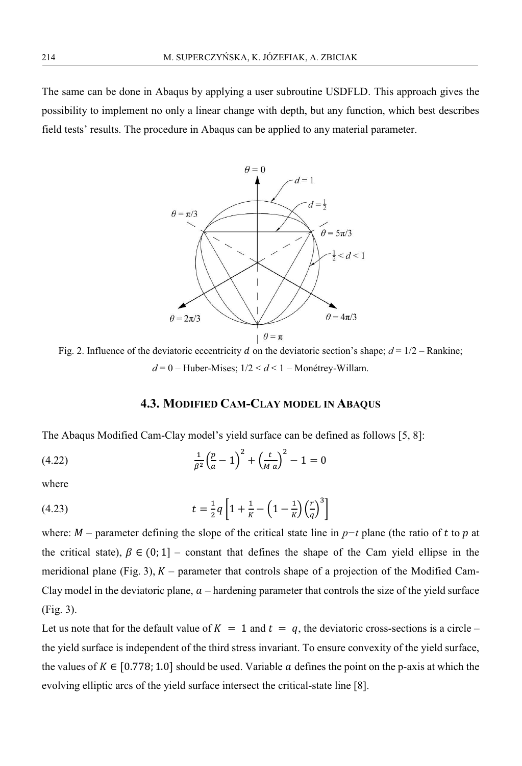The same can be done in Abaqus by applying a user subroutine USDFLD. This approach gives the possibility to implement no only a linear change with depth, but any function, which best describes field tests' results. The procedure in Abaqus can be applied to any material parameter.



Fig. 2. Influence of the deviatoric eccentricity d on the deviatoric section's shape;  $d = 1/2$  – Rankine;  $d = 0$  – Huber-Mises;  $1/2 < d < 1$  – Monétrey-Willam.

#### **4.3. MODIFIED CAM-CLAY MODEL IN ABAQUS**

The Abaqus Modified Cam-Clay model's yield surface can be defined as follows [5, 8]:

(4.22) 
$$
\frac{1}{\beta^2} \left(\frac{p}{a} - 1\right)^2 + \left(\frac{t}{M a}\right)^2 - 1 = 0
$$

where

(4.23) 
$$
t = \frac{1}{2}q \left[1 + \frac{1}{K} - \left(1 - \frac{1}{K}\right) \left(\frac{r}{q}\right)^3\right]
$$

where:  $M$  – parameter defining the slope of the critical state line in  $p-t$  plane (the ratio of t to p at the critical state),  $\beta \in (0, 1]$  – constant that defines the shape of the Cam yield ellipse in the meridional plane (Fig. 3),  $K$  – parameter that controls shape of a projection of the Modified Cam-Clay model in the deviatoric plane,  $a$  – hardening parameter that controls the size of the yield surface (Fig. 3).

Let us note that for the default value of  $K = 1$  and  $t = q$ , the deviatoric cross-sections is a circle – the yield surface is independent of the third stress invariant. To ensure convexity of the yield surface, the values of  $K \in [0.778; 1.0]$  should be used. Variable  $\alpha$  defines the point on the p-axis at which the evolving elliptic arcs of the yield surface intersect the critical-state line [8].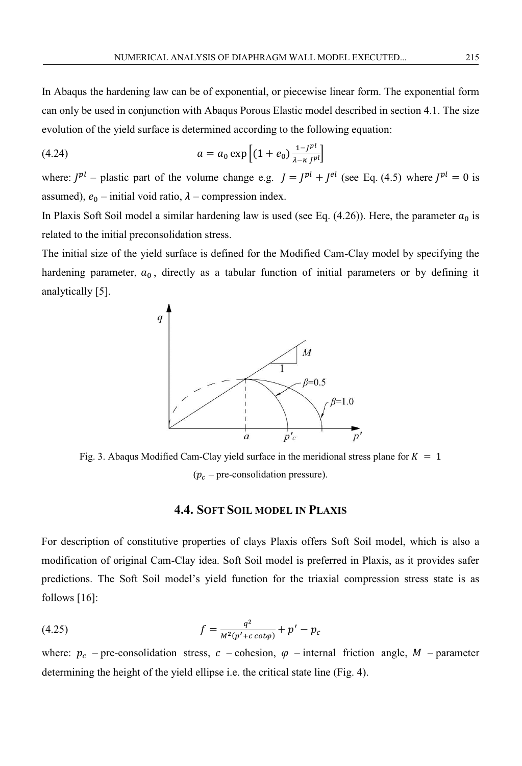In Abaqus the hardening law can be of exponential, or piecewise linear form. The exponential form can only be used in conjunction with Abaqus Porous Elastic model described in section 4.1. The size evolution of the yield surface is determined according to the following equation:

(4.24) 
$$
a = a_0 \exp \left[ (1 + e_0) \frac{1 - J^{pl}}{\lambda - \kappa J^{pl}} \right]
$$

where:  $J<sup>pl</sup>$  – plastic part of the volume change e.g.  $J = J<sup>pl</sup> + J<sup>el</sup>$  (see Eq. (4.5) where  $J<sup>pl</sup> = 0$  is assumed),  $e_0$  – initial void ratio,  $\lambda$  – compression index.

In Plaxis Soft Soil model a similar hardening law is used (see Eq. (4.26)). Here, the parameter  $a_0$  is related to the initial preconsolidation stress.

The initial size of the yield surface is defined for the Modified Cam-Clay model by specifying the hardening parameter,  $a_0$ , directly as a tabular function of initial parameters or by defining it analytically [5].



Fig. 3. Abaqus Modified Cam-Clay yield surface in the meridional stress plane for  $K = 1$  $(p_c - pre-consolidation pressure)$ .

### **4.4. SOFT SOIL MODEL IN PLAXIS**

For description of constitutive properties of clays Plaxis offers Soft Soil model, which is also a modification of original Cam-Clay idea. Soft Soil model is preferred in Plaxis, as it provides safer predictions. The Soft Soil model's yield function for the triaxial compression stress state is as follows [16]:

(4.25) 
$$
f = \frac{q^2}{M^2 (p' + c \cot \varphi)} + p' - p_c
$$

where:  $p_c$  – pre-consolidation stress,  $c$  – cohesion,  $\varphi$  – internal friction angle,  $M$  – parameter determining the height of the yield ellipse i.e. the critical state line (Fig. 4).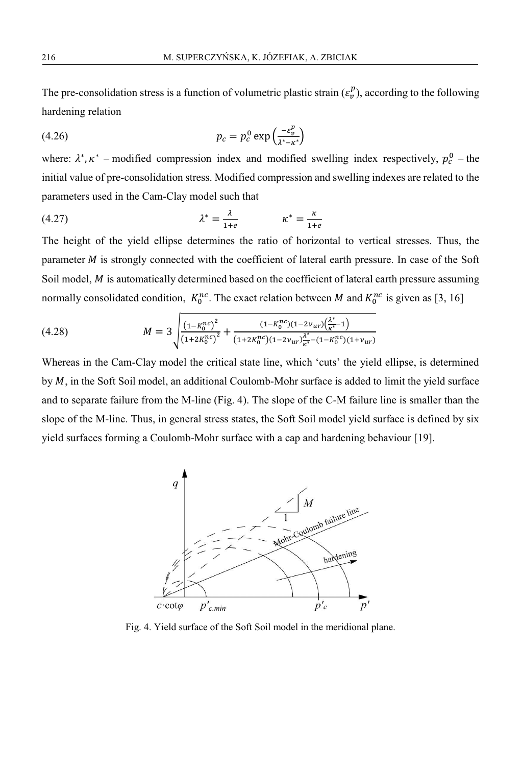The pre-consolidation stress is a function of volumetric plastic strain  $(\varepsilon_v^p)$ , according to the following hardening relation

(4.26) 
$$
p_c = p_c^0 \exp\left(\frac{-e_v^p}{\lambda^* - \kappa^*}\right)
$$

where:  $\lambda^*, \kappa^*$  – modified compression index and modified swelling index respectively,  $p_c^0$  – the initial value of pre-consolidation stress. Modified compression and swelling indexes are related to the parameters used in the Cam-Clay model such that

$$
\lambda^* = \frac{\lambda}{1+e} \qquad \qquad \kappa^* = \frac{\kappa}{1+e}
$$

The height of the yield ellipse determines the ratio of horizontal to vertical stresses. Thus, the parameter *M* is strongly connected with the coefficient of lateral earth pressure. In case of the Soft Soil model,  $M$  is automatically determined based on the coefficient of lateral earth pressure assuming normally consolidated condition,  $K_0^{nc}$ . The exact relation between M and  $K_0^{nc}$  is given as [3, 16]

$$
(4.28) \t\t M = 3 \sqrt{\frac{\left(1 - K_0^{nc}\right)^2}{\left(1 + 2K_0^{nc}\right)^2} + \frac{\left(1 - K_0^{nc}\right)\left(1 - 2\nu_{ur}\right)\left(\frac{\lambda^*}{\kappa^*} - 1\right)}{\left(1 + 2K_0^{nc}\right)\left(1 - 2\nu_{ur}\right)\frac{\lambda^*}{\kappa^*} - \left(1 - K_0^{nc}\right)\left(1 + \nu_{ur}\right)}}
$$

Whereas in the Cam-Clay model the critical state line, which 'cuts' the yield ellipse, is determined by *M*, in the Soft Soil model, an additional Coulomb-Mohr surface is added to limit the yield surface and to separate failure from the M-line (Fig. 4). The slope of the C-M failure line is smaller than the slope of the M-line. Thus, in general stress states, the Soft Soil model yield surface is defined by six yield surfaces forming a Coulomb-Mohr surface with a cap and hardening behaviour [19].



Fig. 4. Yield surface of the Soft Soil model in the meridional plane.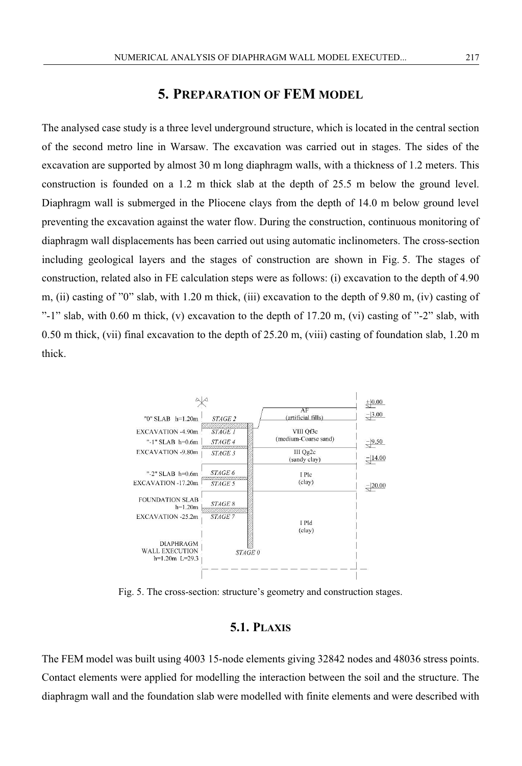## **5. PREPARATION OF FEM MODEL**

The analysed case study is a three level underground structure, which is located in the central section of the second metro line in Warsaw. The excavation was carried out in stages. The sides of the excavation are supported by almost 30 m long diaphragm walls, with a thickness of 1.2 meters. This construction is founded on a 1.2 m thick slab at the depth of 25.5 m below the ground level. Diaphragm wall is submerged in the Pliocene clays from the depth of 14.0 m below ground level preventing the excavation against the water flow. During the construction, continuous monitoring of diaphragm wall displacements has been carried out using automatic inclinometers. The cross-section including geological layers and the stages of construction are shown in Fig. 5. The stages of construction, related also in FE calculation steps were as follows: (i) excavation to the depth of 4.90 m, (ii) casting of "0" slab, with 1.20 m thick, (iii) excavation to the depth of 9.80 m, (iv) casting of "-1" slab, with 0.60 m thick, (v) excavation to the depth of  $17.20$  m, (vi) casting of "-2" slab, with 0.50 m thick, (vii) final excavation to the depth of 25.20 m, (viii) casting of foundation slab, 1.20 m thick.



Fig. 5. The cross-section: structure's geometry and construction stages.

## **5.1. PLAXIS**

The FEM model was built using 4003 15-node elements giving 32842 nodes and 48036 stress points. Contact elements were applied for modelling the interaction between the soil and the structure. The diaphragm wall and the foundation slab were modelled with finite elements and were described with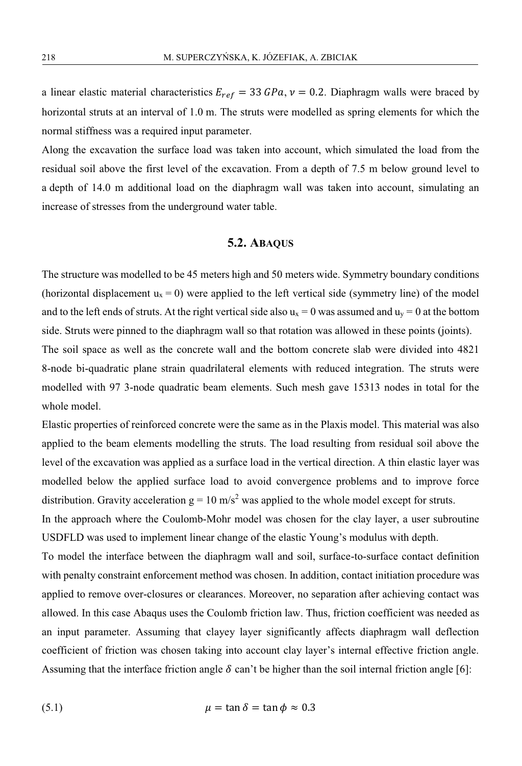a linear elastic material characteristics  $E_{ref} = 33 \text{ GPa}$ ,  $v = 0.2$ . Diaphragm walls were braced by horizontal struts at an interval of 1.0 m. The struts were modelled as spring elements for which the normal stiffness was a required input parameter.

Along the excavation the surface load was taken into account, which simulated the load from the residual soil above the first level of the excavation. From a depth of 7.5 m below ground level to a depth of 14.0 m additional load on the diaphragm wall was taken into account, simulating an increase of stresses from the underground water table.

#### **5.2. ABAQUS**

The structure was modelled to be 45 meters high and 50 meters wide. Symmetry boundary conditions (horizontal displacement  $u_x = 0$ ) were applied to the left vertical side (symmetry line) of the model and to the left ends of struts. At the right vertical side also  $u_x = 0$  was assumed and  $u_y = 0$  at the bottom side. Struts were pinned to the diaphragm wall so that rotation was allowed in these points (joints). The soil space as well as the concrete wall and the bottom concrete slab were divided into 4821 8-node bi-quadratic plane strain quadrilateral elements with reduced integration. The struts were modelled with 97 3-node quadratic beam elements. Such mesh gave 15313 nodes in total for the whole model.

Elastic properties of reinforced concrete were the same as in the Plaxis model. This material was also applied to the beam elements modelling the struts. The load resulting from residual soil above the level of the excavation was applied as a surface load in the vertical direction. A thin elastic layer was modelled below the applied surface load to avoid convergence problems and to improve force distribution. Gravity acceleration  $g = 10 \text{ m/s}^2$  was applied to the whole model except for struts.

In the approach where the Coulomb-Mohr model was chosen for the clay layer, a user subroutine USDFLD was used to implement linear change of the elastic Young's modulus with depth.

To model the interface between the diaphragm wall and soil, surface-to-surface contact definition with penalty constraint enforcement method was chosen. In addition, contact initiation procedure was applied to remove over-closures or clearances. Moreover, no separation after achieving contact was allowed. In this case Abaqus uses the Coulomb friction law. Thus, friction coefficient was needed as an input parameter. Assuming that clayey layer significantly affects diaphragm wall deflection coefficient of friction was chosen taking into account clay layer's internal effective friction angle. Assuming that the interface friction angle  $\delta$  can't be higher than the soil internal friction angle [6]:

(5.1) 
$$
\mu = \tan \delta = \tan \phi \approx 0.3
$$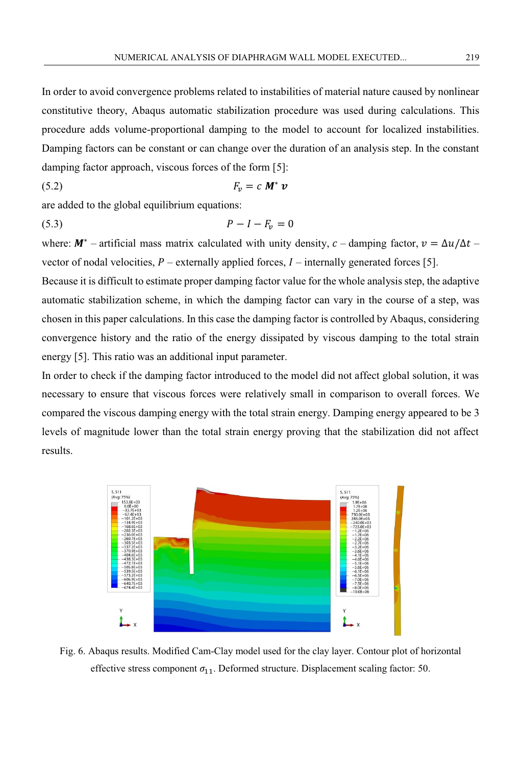In order to avoid convergence problems related to instabilities of material nature caused by nonlinear constitutive theory, Abaqus automatic stabilization procedure was used during calculations. This procedure adds volume-proportional damping to the model to account for localized instabilities. Damping factors can be constant or can change over the duration of an analysis step. In the constant damping factor approach, viscous forces of the form [5]:

$$
F_v = c \, \mathbf{M}^* \, \mathbf{v}
$$

are added to the global equilibrium equations:

$$
(5.3) \t\t\t P - I - F_v = 0
$$

where:  $M^*$  – artificial mass matrix calculated with unity density, c – damping factor,  $v = \Delta u / \Delta t$  – vector of nodal velocities,  $P$  – externally applied forces,  $I$  – internally generated forces [5].

Because it is difficult to estimate proper damping factor value for the whole analysis step, the adaptive automatic stabilization scheme, in which the damping factor can vary in the course of a step, was chosen in this paper calculations. In this case the damping factor is controlled by Abaqus, considering convergence history and the ratio of the energy dissipated by viscous damping to the total strain energy [5]. This ratio was an additional input parameter.

In order to check if the damping factor introduced to the model did not affect global solution, it was necessary to ensure that viscous forces were relatively small in comparison to overall forces. We compared the viscous damping energy with the total strain energy. Damping energy appeared to be 3 levels of magnitude lower than the total strain energy proving that the stabilization did not affect results.



Fig. 6. Abaqus results. Modified Cam-Clay model used for the clay layer. Contour plot of horizontal effective stress component  $\sigma_{11}$ . Deformed structure. Displacement scaling factor: 50.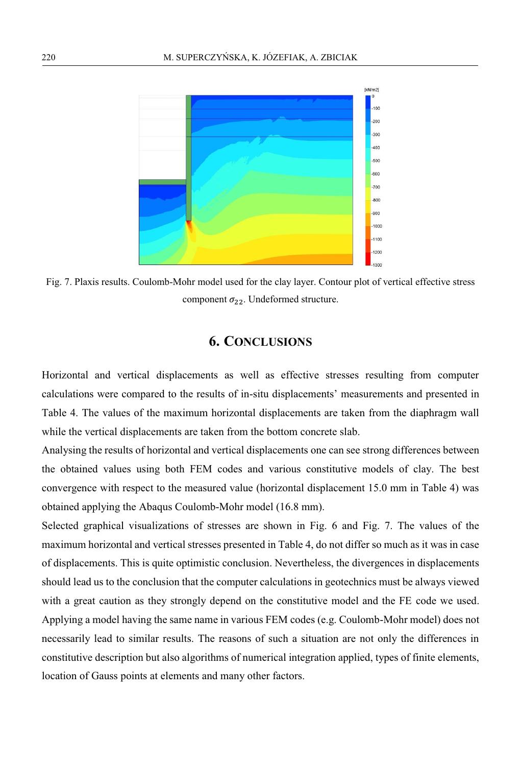

Fig. 7. Plaxis results. Coulomb-Mohr model used for the clay layer. Contour plot of vertical effective stress component  $\sigma_{22}$ . Undeformed structure.

# **6. CONCLUSIONS**

Horizontal and vertical displacements as well as effective stresses resulting from computer calculations were compared to the results of in-situ displacements' measurements and presented in Table 4. The values of the maximum horizontal displacements are taken from the diaphragm wall while the vertical displacements are taken from the bottom concrete slab.

Analysing the results of horizontal and vertical displacements one can see strong differences between the obtained values using both FEM codes and various constitutive models of clay. The best convergence with respect to the measured value (horizontal displacement 15.0 mm in Table 4) was obtained applying the Abaqus Coulomb-Mohr model (16.8 mm).

Selected graphical visualizations of stresses are shown in Fig. 6 and Fig. 7. The values of the maximum horizontal and vertical stresses presented in Table 4, do not differ so much as it was in case of displacements. This is quite optimistic conclusion. Nevertheless, the divergences in displacements should lead us to the conclusion that the computer calculations in geotechnics must be always viewed with a great caution as they strongly depend on the constitutive model and the FE code we used. Applying a model having the same name in various FEM codes (e.g. Coulomb-Mohr model) does not necessarily lead to similar results. The reasons of such a situation are not only the differences in constitutive description but also algorithms of numerical integration applied, types of finite elements, location of Gauss points at elements and many other factors.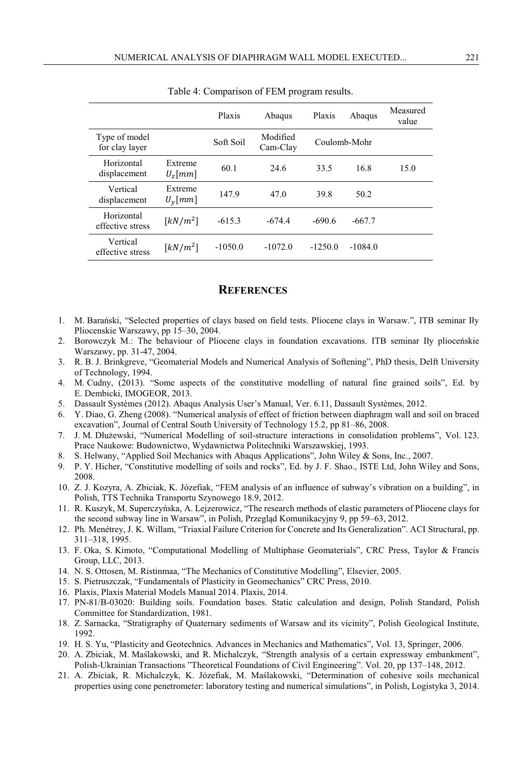|                                 |                                   | Plaxis    | Abaqus               | Plaxis       | Abaqus    | Measured<br>value |
|---------------------------------|-----------------------------------|-----------|----------------------|--------------|-----------|-------------------|
| Type of model<br>for clay layer |                                   | Soft Soil | Modified<br>Cam-Clay | Coulomb-Mohr |           |                   |
| Horizontal<br>displacement      | Extreme<br>$U_{\tau}[mm]$         | 60.1      | 24.6                 | 33.5         | 16.8      | 15.0              |
| Vertical<br>displacement        | Extreme<br>$U_{v}[mm]$            | 147.9     | 47.0                 | 39.8         | 50.2      |                   |
| Horizontal<br>effective stress  | $\left\lceil kN/m^2 \right\rceil$ | $-615.3$  | $-674.4$             | $-690.6$     | $-667.7$  |                   |
| Vertical<br>effective stress    | $\left\lceil kN/m^2 \right\rceil$ | $-1050.0$ | $-1072.0$            | $-1250.0$    | $-1084.0$ |                   |

Table 4: Comparison of FEM program results.

#### **REFERENCES**

- 1. M. Barański, "Selected properties of clays based on field tests. Pliocene clays in Warsaw.", ITB seminar Iły Pliocenskie Warszawy, pp 15–30, 2004.
- 2. Borowczyk M.: The behaviour of Pliocene clays in foundation excavations. ITB seminar Iły plioceńskie Warszawy, pp. 31-47, 2004.
- 3. R. B. J. Brinkgreve, "Geomaterial Models and Numerical Analysis of Softening", PhD thesis, Delft University of Technology, 1994.
- 4. M. Cudny, (2013). "Some aspects of the constitutive modelling of natural fine grained soils", Ed. by E. Dembicki, IMOGEOR, 2013.
- 5. Dassault Systèmes (2012). Abaqus Analysis User's Manual, Ver. 6.11, Dassault Systèmes, 2012.
- 6. Y. Diao, G. Zheng (2008). "Numerical analysis of effect of friction between diaphragm wall and soil on braced excavation", Journal of Central South University of Technology 15.2, pp 81–86, 2008.
- 7. J. M. Dłużewski, "Numerical Modelling of soil-structure interactions in consolidation problems", Vol. 123. Prace Naukowe: Budownictwo, Wydawnictwa Politechniki Warszawskiej, 1993.
- 8. S. Helwany, "Applied Soil Mechanics with Abaqus Applications", John Wiley & Sons, Inc., 2007.
- 9. P. Y. Hicher, "Constitutive modelling of soils and rocks", Ed. by J. F. Shao., ISTE Ltd, John Wiley and Sons, 2008.
- 10. Z. J. Kozyra, A. Zbiciak, K. Józefiak, "FEM analysis of an influence of subway's vibration on a building", in Polish, TTS Technika Transportu Szynowego 18.9, 2012.
- 11. R. Kuszyk, M. Superczyńska, A. Lejzerowicz, "The research methods of elastic parameters of Pliocene clays for the second subway line in Warsaw", in Polish, Przegląd Komunikacyjny 9, pp 59–63, 2012.
- 12. Ph. Menétrey, J. K. Willam, "Triaxial Failure Criterion for Concrete and Its Generalization". ACI Structural, pp. 311–318, 1995.
- 13. F. Oka, S. Kimoto, "Computational Modelling of Multiphase Geomaterials", CRC Press, Taylor & Francis Group, LLC, 2013.
- 14. N. S. Ottosen, M. Ristinmaa, "The Mechanics of Constitutive Modelling", Elsevier, 2005.
- 15. S. Pietruszczak, "Fundamentals of Plasticity in Geomechanics" CRC Press, 2010.
- 16. Plaxis, Plaxis Material Models Manual 2014. Plaxis, 2014.
- 17. PN-81/B-03020: Building soils. Foundation bases. Static calculation and design, Polish Standard, Polish Committee for Standardization, 1981.
- 18. Z. Sarnacka, "Stratigraphy of Quaternary sediments of Warsaw and its vicinity", Polish Geological Institute, 1992.
- 19. H. S. Yu, "Plasticity and Geotechnics. Advances in Mechanics and Mathematics", Vol. 13, Springer, 2006.
- 20. A. Zbiciak, M. Maślakowski, and R. Michalczyk, "Strength analysis of a certain expressway embankment", Polish-Ukrainian Transactions "Theoretical Foundations of Civil Engineering". Vol. 20, pp 137–148, 2012.
- 21. A. Zbiciak, R. Michalczyk, K. Józefiak, M. Maślakowski, "Determination of cohesive soils mechanical properties using cone penetrometer: laboratory testing and numerical simulations", in Polish, Logistyka 3, 2014.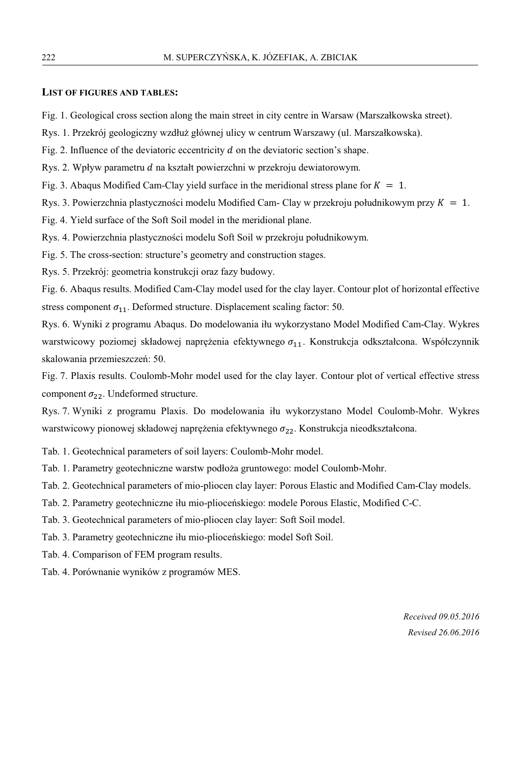#### **LIST OF FIGURES AND TABLES:**

Fig. 1. Geological cross section along the main street in city centre in Warsaw (Marszałkowska street).

Rys. 1. Przekrój geologiczny wzdłuż głównej ulicy w centrum Warszawy (ul. Marszałkowska).

Fig. 2. Influence of the deviatoric eccentricity  $d$  on the deviatoric section's shape.

Rys. 2. Wpływ parametru d na kształt powierzchni w przekroju dewiatorowym.

Fig. 3. Abaqus Modified Cam-Clay yield surface in the meridional stress plane for  $K = 1$ .

Rys. 3. Powierzchnia plastyczności modelu Modified Cam- Clay w przekroju południkowym przy  $K = 1$ .

Fig. 4. Yield surface of the Soft Soil model in the meridional plane.

Rys. 4. Powierzchnia plastyczności modelu Soft Soil w przekroju południkowym.

Fig. 5. The cross-section: structure's geometry and construction stages.

Rys. 5. Przekrój: geometria konstrukcji oraz fazy budowy.

Fig. 6. Abaqus results. Modified Cam-Clay model used for the clay layer. Contour plot of horizontal effective stress component  $\sigma_{11}$ . Deformed structure. Displacement scaling factor: 50.

Rys. 6. Wyniki z programu Abaqus. Do modelowania iłu wykorzystano Model Modified Cam-Clay. Wykres warstwicowy poziomej składowej naprężenia efektywnego σ<sub>11</sub>. Konstrukcja odkształcona. Współczynnik skalowania przemieszczeń: 50.

Fig. 7. Plaxis results. Coulomb-Mohr model used for the clay layer. Contour plot of vertical effective stress component  $\sigma_{22}$ . Undeformed structure.

Rys. 7. Wyniki z programu Plaxis. Do modelowania iłu wykorzystano Model Coulomb-Mohr. Wykres warstwicowy pionowej składowej naprężenia efektywnego  $\sigma_{22}$ . Konstrukcja nieodkształcona.

Tab. 1. Geotechnical parameters of soil layers: Coulomb-Mohr model.

Tab. 1. Parametry geotechniczne warstw podłoża gruntowego: model Coulomb-Mohr.

Tab. 2. Geotechnical parameters of mio-pliocen clay layer: Porous Elastic and Modified Cam-Clay models.

Tab. 2. Parametry geotechniczne iłu mio-plioceńskiego: modele Porous Elastic, Modified C-C.

Tab. 3. Geotechnical parameters of mio-pliocen clay layer: Soft Soil model.

- Tab. 3. Parametry geotechniczne iłu mio-plioceńskiego: model Soft Soil.
- Tab. 4. Comparison of FEM program results.
- Tab. 4. Porównanie wyników z programów MES.

*Received 09.05.2016 Revised 26.06.2016*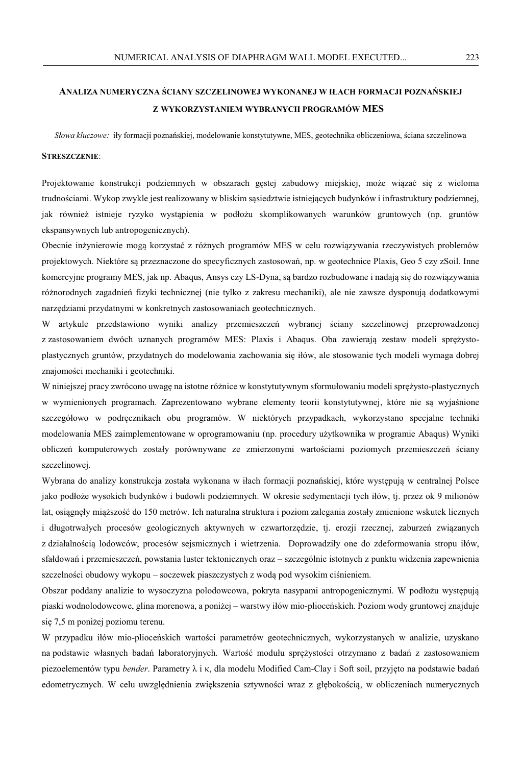## **ANALIZA NUMERYCZNA ŚCIANY SZCZELINOWEJ WYKONANEJ W IŁACH FORMACJI POZNAŃSKIEJ Z WYKORZYSTANIEM WYBRANYCH PROGRAMÓW MES**

*Słowa kluczowe:* iły formacji poznańskiej, modelowanie konstytutywne, MES, geotechnika obliczeniowa, ściana szczelinowa

#### **STRESZCZENIE**:

Projektowanie konstrukcji podziemnych w obszarach gęstej zabudowy miejskiej, może wiązać się z wieloma trudnościami. Wykop zwykle jest realizowany w bliskim sąsiedztwie istniejących budynków i infrastruktury podziemnej, jak również istnieje ryzyko wystąpienia w podłożu skomplikowanych warunków gruntowych (np. gruntów ekspansywnych lub antropogenicznych).

Obecnie inżynierowie mogą korzystać z różnych programów MES w celu rozwiązywania rzeczywistych problemów projektowych. Niektóre są przeznaczone do specyficznych zastosowań, np. w geotechnice Plaxis, Geo 5 czy zSoil. Inne komercyjne programy MES, jak np. Abaqus, Ansys czy LS-Dyna, są bardzo rozbudowane i nadają się do rozwiązywania różnorodnych zagadnień fizyki technicznej (nie tylko z zakresu mechaniki), ale nie zawsze dysponują dodatkowymi narzędziami przydatnymi w konkretnych zastosowaniach geotechnicznych.

W artykule przedstawiono wyniki analizy przemieszczeń wybranej ściany szczelinowej przeprowadzonej z zastosowaniem dwóch uznanych programów MES: Plaxis i Abaqus. Oba zawierają zestaw modeli sprężystoplastycznych gruntów, przydatnych do modelowania zachowania się iłów, ale stosowanie tych modeli wymaga dobrej znajomości mechaniki i geotechniki.

W niniejszej pracy zwrócono uwagę na istotne różnice w konstytutywnym sformułowaniu modeli sprężysto-plastycznych w wymienionych programach. Zaprezentowano wybrane elementy teorii konstytutywnej, które nie są wyjaśnione szczegółowo w podręcznikach obu programów. W niektórych przypadkach, wykorzystano specjalne techniki modelowania MES zaimplementowane w oprogramowaniu (np. procedury użytkownika w programie Abaqus) Wyniki obliczeń komputerowych zostały porównywane ze zmierzonymi wartościami poziomych przemieszczeń ściany szczelinowej.

Wybrana do analizy konstrukcja została wykonana w iłach formacji poznańskiej, które występują w centralnej Polsce jako podłoże wysokich budynków i budowli podziemnych. W okresie sedymentacji tych iłów, tj. przez ok 9 milionów lat, osiągnęły miąższość do 150 metrów. Ich naturalna struktura i poziom zalegania zostały zmienione wskutek licznych i długotrwałych procesów geologicznych aktywnych w czwartorzędzie, tj. erozji rzecznej, zaburzeń związanych z działalnością lodowców, procesów sejsmicznych i wietrzenia. Doprowadziły one do zdeformowania stropu iłów, sfałdowań i przemieszczeń, powstania luster tektonicznych oraz – szczególnie istotnych z punktu widzenia zapewnienia szczelności obudowy wykopu – soczewek piaszczystych z wodą pod wysokim ciśnieniem.

Obszar poddany analizie to wysoczyzna polodowcowa, pokryta nasypami antropogenicznymi. W podłożu występują piaski wodnolodowcowe, glina morenowa, a poniżej – warstwy iłów mio-plioceńskich. Poziom wody gruntowej znajduje się 7,5 m poniżej poziomu terenu.

W przypadku iłów mio-plioceńskich wartości parametrów geotechnicznych, wykorzystanych w analizie, uzyskano na podstawie własnych badań laboratoryjnych. Wartość modułu sprężystości otrzymano z badań z zastosowaniem piezoelementów typu *bender*. Parametry λ i κ, dla modelu Modified Cam-Clay i Soft soil, przyjęto na podstawie badań edometrycznych. W celu uwzględnienia zwiększenia sztywności wraz z głębokością, w obliczeniach numerycznych